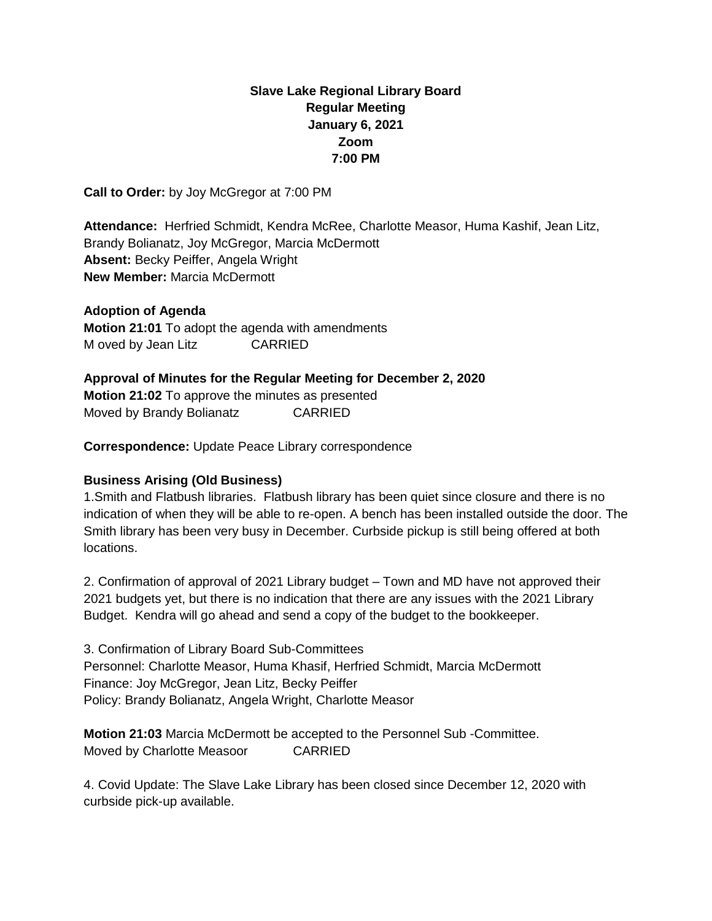# **Slave Lake Regional Library Board Regular Meeting January 6, 2021 Zoom 7:00 PM**

**Call to Order:** by Joy McGregor at 7:00 PM

**Attendance:** Herfried Schmidt, Kendra McRee, Charlotte Measor, Huma Kashif, Jean Litz, Brandy Bolianatz, Joy McGregor, Marcia McDermott **Absent:** Becky Peiffer, Angela Wright **New Member:** Marcia McDermott

**Adoption of Agenda Motion 21:01** To adopt the agenda with amendments M oved by Jean Litz CARRIED

#### **Approval of Minutes for the Regular Meeting for December 2, 2020**

**Motion 21:02** To approve the minutes as presented Moved by Brandy Bolianatz CARRIED

**Correspondence:** Update Peace Library correspondence

## **Business Arising (Old Business)**

1.Smith and Flatbush libraries. Flatbush library has been quiet since closure and there is no indication of when they will be able to re-open. A bench has been installed outside the door. The Smith library has been very busy in December. Curbside pickup is still being offered at both locations.

2. Confirmation of approval of 2021 Library budget – Town and MD have not approved their 2021 budgets yet, but there is no indication that there are any issues with the 2021 Library Budget. Kendra will go ahead and send a copy of the budget to the bookkeeper.

3. Confirmation of Library Board Sub-Committees Personnel: Charlotte Measor, Huma Khasif, Herfried Schmidt, Marcia McDermott Finance: Joy McGregor, Jean Litz, Becky Peiffer Policy: Brandy Bolianatz, Angela Wright, Charlotte Measor

**Motion 21:03** Marcia McDermott be accepted to the Personnel Sub -Committee. Moved by Charlotte Measoor CARRIED

4. Covid Update: The Slave Lake Library has been closed since December 12, 2020 with curbside pick-up available.